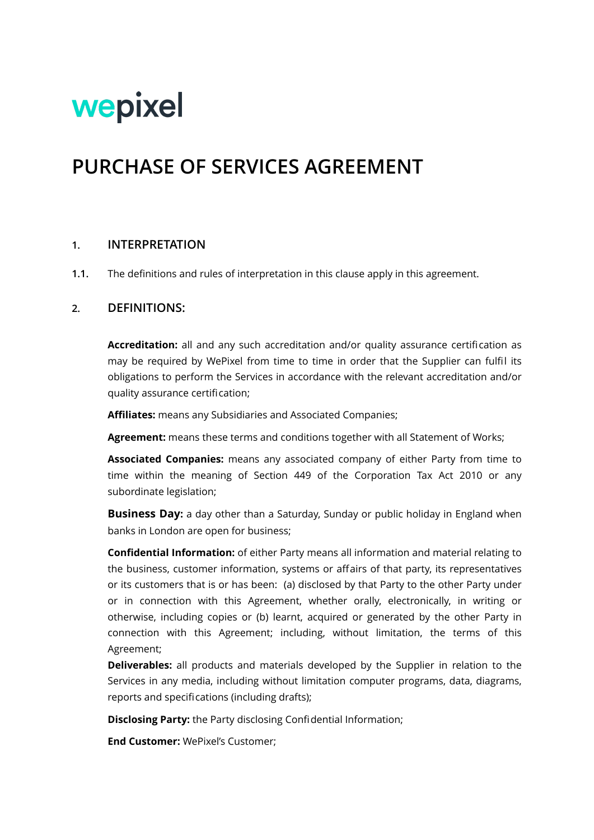# wepixel

# **PURCHASE OF SERVICES AGREEMENT**

#### **1. INTERPRETATION**

**1.1.** The definitions and rules of interpretation in this clause apply in this agreement.

#### **2. DEFINITIONS:**

**Accreditation:** all and any such accreditation and/or quality assurance certification as may be required by WePixel from time to time in order that the Supplier can fulfil its obligations to perform the Services in accordance with the relevant accreditation and/or quality assurance certification;

**Affiliates:** means any Subsidiaries and Associated Companies;

**Agreement:** means these terms and conditions together with all Statement of Works;

**Associated Companies:** means any associated company of either Party from time to time within the meaning of Section 449 of the Corporation Tax Act 2010 or any subordinate legislation;

**Business Day:** a day other than a Saturday, Sunday or public holiday in England when banks in London are open for business;

**Confidential Information:** of either Party means all information and material relating to the business, customer information, systems or affairs of that party, its representatives or its customers that is or has been: (a) disclosed by that Party to the other Party under or in connection with this Agreement, whether orally, electronically, in writing or otherwise, including copies or (b) learnt, acquired or generated by the other Party in connection with this Agreement; including, without limitation, the terms of this Agreement;

**Deliverables:** all products and materials developed by the Supplier in relation to the Services in any media, including without limitation computer programs, data, diagrams, reports and specifications (including drafts);

**Disclosing Party:** the Party disclosing Confidential Information;

**End Customer:** WePixel's Customer;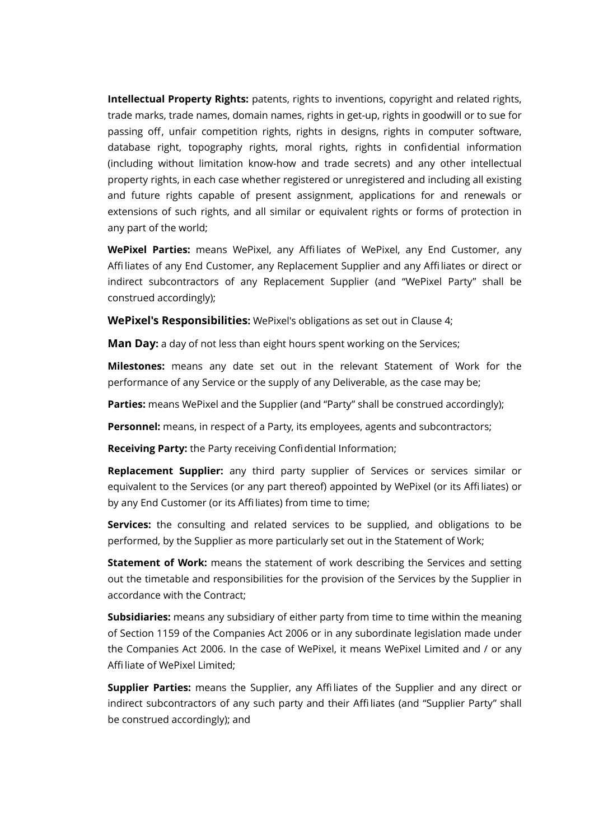**Intellectual Property Rights:** patents, rights to inventions, copyright and related rights, trade marks, trade names, domain names, rights in get-up, rights in goodwill or to sue for passing off, unfair competition rights, rights in designs, rights in computer software, database right, topography rights, moral rights, rights in confidential information (including without limitation know-how and trade secrets) and any other intellectual property rights, in each case whether registered or unregistered and including all existing and future rights capable of present assignment, applications for and renewals or extensions of such rights, and all similar or equivalent rights or forms of protection in any part of the world;

**WePixel Parties:** means WePixel, any Affiliates of WePixel, any End Customer, any Affiliates of any End Customer, any Replacement Supplier and any Affiliates or direct or indirect subcontractors of any Replacement Supplier (and "WePixel Party" shall be construed accordingly);

**WePixel's Responsibilities:** WePixel's obligations as set out in Clause [4;](#page-4-0)

**Man Day:** a day of not less than eight hours spent working on the Services;

**Milestones:** means any date set out in the relevant Statement of Work for the performance of any Service or the supply of any Deliverable, as the case may be;

**Parties:** means WePixel and the Supplier (and "Party" shall be construed accordingly);

**Personnel:** means, in respect of a Party, its employees, agents and subcontractors;

**Receiving Party:** the Party receiving Confidential Information;

**Replacement Supplier:** any third party supplier of Services or services similar or equivalent to the Services (or any part thereof) appointed by WePixel (or its Affiliates) or by any End Customer (or its Affiliates) from time to time;

**Services:** the consulting and related services to be supplied, and obligations to be performed, by the Supplier as more particularly set out in the Statement of Work;

**Statement of Work:** means the statement of work describing the Services and setting out the timetable and responsibilities for the provision of the Services by the Supplier in accordance with the Contract;

**Subsidiaries:** means any subsidiary of either party from time to time within the meaning of Section 1159 of the Companies Act 2006 or in any subordinate legislation made under the Companies Act 2006. In the case of WePixel, it means WePixel Limited and / or any Affiliate of WePixel Limited;

**Supplier Parties:** means the Supplier, any Affiliates of the Supplier and any direct or indirect subcontractors of any such party and their Affiliates (and "Supplier Party" shall be construed accordingly); and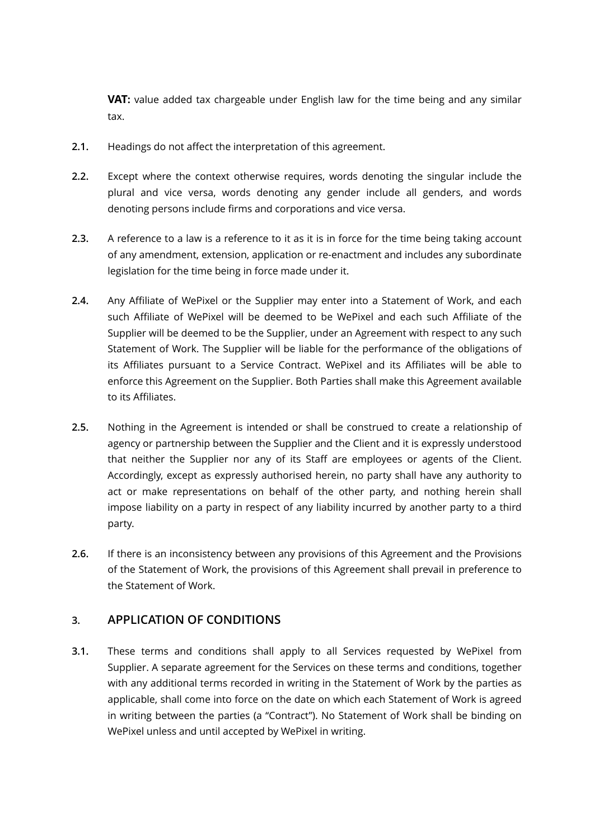**VAT:** value added tax chargeable under English law for the time being and any similar tax.

- **2.1.** Headings do not affect the interpretation of this agreement.
- **2.2.** Except where the context otherwise requires, words denoting the singular include the plural and vice versa, words denoting any gender include all genders, and words denoting persons include firms and corporations and vice versa.
- **2.3.** A reference to a law is a reference to it as it is in force for the time being taking account of any amendment, extension, application or re-enactment and includes any subordinate legislation for the time being in force made under it.
- **2.4.** Any Affiliate of WePixel or the Supplier may enter into a Statement of Work, and each such Affiliate of WePixel will be deemed to be WePixel and each such Affiliate of the Supplier will be deemed to be the Supplier, under an Agreement with respect to any such Statement of Work. The Supplier will be liable for the performance of the obligations of its Affiliates pursuant to a Service Contract. WePixel and its Affiliates will be able to enforce this Agreement on the Supplier. Both Parties shall make this Agreement available to its Affiliates.
- **2.5.** Nothing in the Agreement is intended or shall be construed to create a relationship of agency or partnership between the Supplier and the Client and it is expressly understood that neither the Supplier nor any of its Staff are employees or agents of the Client. Accordingly, except as expressly authorised herein, no party shall have any authority to act or make representations on behalf of the other party, and nothing herein shall impose liability on a party in respect of any liability incurred by another party to a third party.
- **2.6.** If there is an inconsistency between any provisions of this Agreement and the Provisions of the Statement of Work, the provisions of this Agreement shall prevail in preference to the Statement of Work.

# **3. APPLICATION OF CONDITIONS**

**3.1.** These terms and conditions shall apply to all Services requested by WePixel from Supplier. A separate agreement for the Services on these terms and conditions, together with any additional terms recorded in writing in the Statement of Work by the parties as applicable, shall come into force on the date on which each Statement of Work is agreed in writing between the parties (a "Contract"). No Statement of Work shall be binding on WePixel unless and until accepted by WePixel in writing.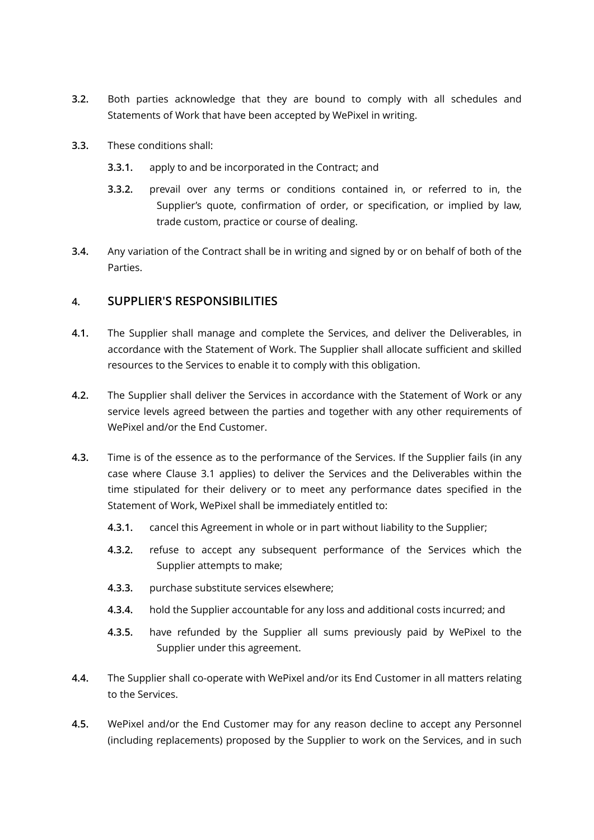- **3.2.** Both parties acknowledge that they are bound to comply with all schedules and Statements of Work that have been accepted by WePixel in writing.
- **3.3.** These conditions shall:
	- **3.3.1.** apply to and be incorporated in the Contract; and
	- **3.3.2.** prevail over any terms or conditions contained in, or referred to in, the Supplier's quote, confirmation of order, or specification, or implied by law, trade custom, practice or course of dealing.
- **3.4.** Any variation of the Contract shall be in writing and signed by or on behalf of both of the Parties.

## **4. SUPPLIER'S RESPONSIBILITIES**

- <span id="page-3-0"></span>**4.1.** The Supplier shall manage and complete the Services, and deliver the Deliverables, in accordance with the Statement of Work. The Supplier shall allocate sufficient and skilled resources to the Services to enable it to comply with this obligation.
- **4.2.** The Supplier shall deliver the Services in accordance with the Statement of Work or any service levels agreed between the parties and together with any other requirements of WePixel and/or the End Customer.
- **4.3.** Time is of the essence as to the performance of the Services. If the Supplier fails (in any case where Clause [3.1](#page-3-0) applies) to deliver the Services and the Deliverables within the time stipulated for their delivery or to meet any performance dates specified in the Statement of Work, WePixel shall be immediately entitled to:
	- **4.3.1.** cancel this Agreement in whole or in part without liability to the Supplier;
	- **4.3.2.** refuse to accept any subsequent performance of the Services which the Supplier attempts to make;
	- **4.3.3.** purchase substitute services elsewhere;
	- **4.3.4.** hold the Supplier accountable for any loss and additional costs incurred; and
	- **4.3.5.** have refunded by the Supplier all sums previously paid by WePixel to the Supplier under this agreement.
- **4.4.** The Supplier shall co-operate with WePixel and/or its End Customer in all matters relating to the Services.
- **4.5.** WePixel and/or the End Customer may for any reason decline to accept any Personnel (including replacements) proposed by the Supplier to work on the Services, and in such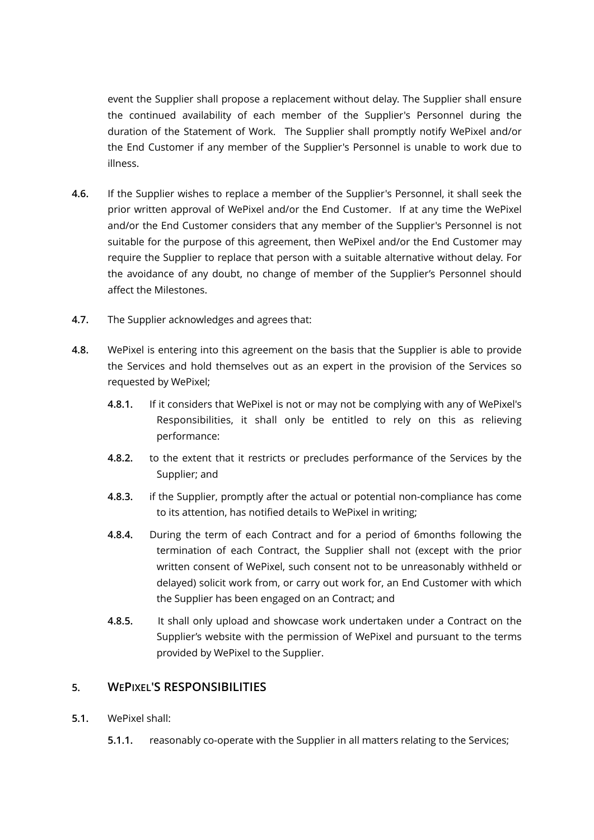event the Supplier shall propose a replacement without delay. The Supplier shall ensure the continued availability of each member of the Supplier's Personnel during the duration of the Statement of Work. The Supplier shall promptly notify WePixel and/or the End Customer if any member of the Supplier's Personnel is unable to work due to illness.

- **4.6.** If the Supplier wishes to replace a member of the Supplier's Personnel, it shall seek the prior written approval of WePixel and/or the End Customer. If at any time the WePixel and/or the End Customer considers that any member of the Supplier's Personnel is not suitable for the purpose of this agreement, then WePixel and/or the End Customer may require the Supplier to replace that person with a suitable alternative without delay. For the avoidance of any doubt, no change of member of the Supplier's Personnel should affect the Milestones.
- **4.7.** The Supplier acknowledges and agrees that:
- **4.8.** WePixel is entering into this agreement on the basis that the Supplier is able to provide the Services and hold themselves out as an expert in the provision of the Services so requested by WePixel;
	- **4.8.1.** If it considers that WePixel is not or may not be complying with any of WePixel's Responsibilities, it shall only be entitled to rely on this as relieving performance:
	- **4.8.2.** to the extent that it restricts or precludes performance of the Services by the Supplier; and
	- **4.8.3.** if the Supplier, promptly after the actual or potential non-compliance has come to its attention, has notified details to WePixel in writing;
	- **4.8.4.** During the term of each Contract and for a period of 6months following the termination of each Contract, the Supplier shall not (except with the prior written consent of WePixel, such consent not to be unreasonably withheld or delayed) solicit work from, or carry out work for, an End Customer with which the Supplier has been engaged on an Contract; and
	- **4.8.5.** It shall only upload and showcase work undertaken under a Contract on the Supplier's website with the permission of WePixel and pursuant to the terms provided by WePixel to the Supplier.

# <span id="page-4-0"></span>**5. WEPIXEL'S RESPONSIBILITIES**

- **5.1.** WePixel shall:
	- **5.1.1.** reasonably co-operate with the Supplier in all matters relating to the Services;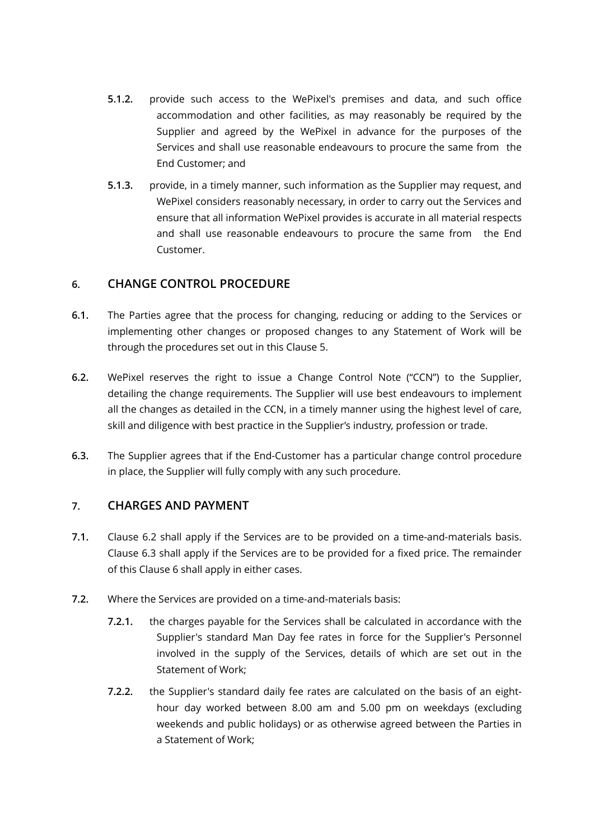- **5.1.2.** provide such access to the WePixel's premises and data, and such office accommodation and other facilities, as may reasonably be required by the Supplier and agreed by the WePixel in advance for the purposes of the Services and shall use reasonable endeavours to procure the same from the End Customer; and
- **5.1.3.** provide, in a timely manner, such information as the Supplier may request, and WePixel considers reasonably necessary, in order to carry out the Services and ensure that all information WePixel provides is accurate in all material respects and shall use reasonable endeavours to procure the same from the End Customer.

#### <span id="page-5-0"></span>**6. CHANGE CONTROL PROCEDURE**

- **6.1.** The Parties agree that the process for changing, reducing or adding to the Services or implementing other changes or proposed changes to any Statement of Work will be through the procedures set out in this Clause [5](#page-5-0).
- **6.2.** WePixel reserves the right to issue a Change Control Note ("CCN") to the Supplier, detailing the change requirements. The Supplier will use best endeavours to implement all the changes as detailed in the CCN, in a timely manner using the highest level of care, skill and diligence with best practice in the Supplier's industry, profession or trade.
- **6.3.** The Supplier agrees that if the End-Customer has a particular change control procedure in place, the Supplier will fully comply with any such procedure.

# <span id="page-5-3"></span><span id="page-5-2"></span>**7. CHARGES AND PAYMENT**

- **7.1.** Clause [6.2](#page-5-1) shall apply if the Services are to be provided on a time-and-materials basis. Clause [6.3](#page-6-0) shall apply if the Services are to be provided for a fixed price. The remainder of this Clause [6](#page-5-2) shall apply in either cases.
- <span id="page-5-1"></span>**7.2.** Where the Services are provided on a time-and-materials basis:
	- **7.2.1.** the charges payable for the Services shall be calculated in accordance with the Supplier's standard Man Day fee rates in force for the Supplier's Personnel involved in the supply of the Services, details of which are set out in the Statement of Work;
	- **7.2.2.** the Supplier's standard daily fee rates are calculated on the basis of an eighthour day worked between 8.00 am and 5.00 pm on weekdays (excluding weekends and public holidays) or as otherwise agreed between the Parties in a Statement of Work;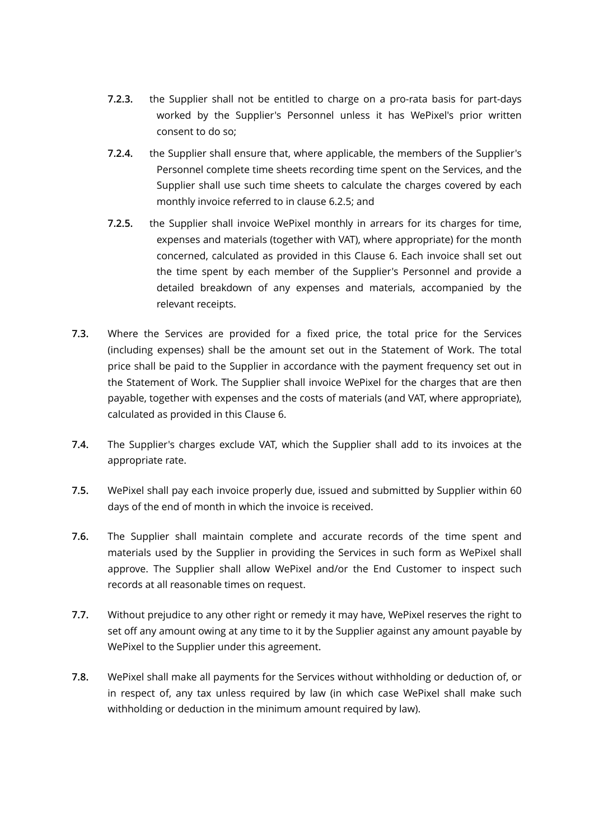- **7.2.3.** the Supplier shall not be entitled to charge on a pro-rata basis for part-days worked by the Supplier's Personnel unless it has WePixel's prior written consent to do so;
- **7.2.4.** the Supplier shall ensure that, where applicable, the members of the Supplier's Personnel complete time sheets recording time spent on the Services, and the Supplier shall use such time sheets to calculate the charges covered by each monthly invoice referred to in clause [6.2.5](#page-6-1); and
- <span id="page-6-1"></span>**7.2.5.** the Supplier shall invoice WePixel monthly in arrears for its charges for time, expenses and materials (together with VAT), where appropriate) for the month concerned, calculated as provided in this Clause [6.](#page-5-3) Each invoice shall set out the time spent by each member of the Supplier's Personnel and provide a detailed breakdown of any expenses and materials, accompanied by the relevant receipts.
- <span id="page-6-0"></span>**7.3.** Where the Services are provided for a fixed price, the total price for the Services (including expenses) shall be the amount set out in the Statement of Work. The total price shall be paid to the Supplier in accordance with the payment frequency set out in the Statement of Work. The Supplier shall invoice WePixel for the charges that are then payable, together with expenses and the costs of materials (and VAT, where appropriate), calculated as provided in this Clause 6.
- **7.4.** The Supplier's charges exclude VAT, which the Supplier shall add to its invoices at the appropriate rate.
- **7.5.** WePixel shall pay each invoice properly due, issued and submitted by Supplier within 60 days of the end of month in which the invoice is received.
- **7.6.** The Supplier shall maintain complete and accurate records of the time spent and materials used by the Supplier in providing the Services in such form as WePixel shall approve. The Supplier shall allow WePixel and/or the End Customer to inspect such records at all reasonable times on request.
- **7.7.** Without prejudice to any other right or remedy it may have, WePixel reserves the right to set off any amount owing at any time to it by the Supplier against any amount payable by WePixel to the Supplier under this agreement.
- **7.8.** WePixel shall make all payments for the Services without withholding or deduction of, or in respect of, any tax unless required by law (in which case WePixel shall make such withholding or deduction in the minimum amount required by law).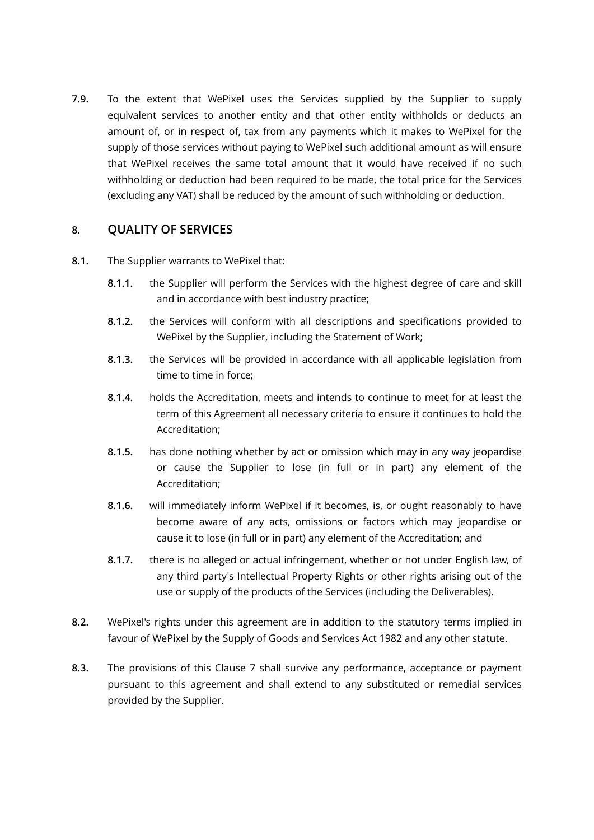**7.9.** To the extent that WePixel uses the Services supplied by the Supplier to supply equivalent services to another entity and that other entity withholds or deducts an amount of, or in respect of, tax from any payments which it makes to WePixel for the supply of those services without paying to WePixel such additional amount as will ensure that WePixel receives the same total amount that it would have received if no such withholding or deduction had been required to be made, the total price for the Services (excluding any VAT) shall be reduced by the amount of such withholding or deduction.

#### <span id="page-7-0"></span>**8. QUALITY OF SERVICES**

- <span id="page-7-1"></span>**8.1.** The Supplier warrants to WePixel that:
	- **8.1.1.** the Supplier will perform the Services with the highest degree of care and skill and in accordance with best industry practice;
	- **8.1.2.** the Services will conform with all descriptions and specifications provided to WePixel by the Supplier, including the Statement of Work;
	- **8.1.3.** the Services will be provided in accordance with all applicable legislation from time to time in force;
	- **8.1.4.** holds the Accreditation, meets and intends to continue to meet for at least the term of this Agreement all necessary criteria to ensure it continues to hold the Accreditation;
	- **8.1.5.** has done nothing whether by act or omission which may in any way jeopardise or cause the Supplier to lose (in full or in part) any element of the Accreditation;
	- **8.1.6.** will immediately inform WePixel if it becomes, is, or ought reasonably to have become aware of any acts, omissions or factors which may jeopardise or cause it to lose (in full or in part) any element of the Accreditation; and
	- **8.1.7.** there is no alleged or actual infringement, whether or not under English law, of any third party's Intellectual Property Rights or other rights arising out of the use or supply of the products of the Services (including the Deliverables).
- **8.2.** WePixel's rights under this agreement are in addition to the statutory terms implied in favour of WePixel by the Supply of Goods and Services Act 1982 and any other statute.
- **8.3.** The provisions of this Clause [7](#page-7-0) shall survive any performance, acceptance or payment pursuant to this agreement and shall extend to any substituted or remedial services provided by the Supplier.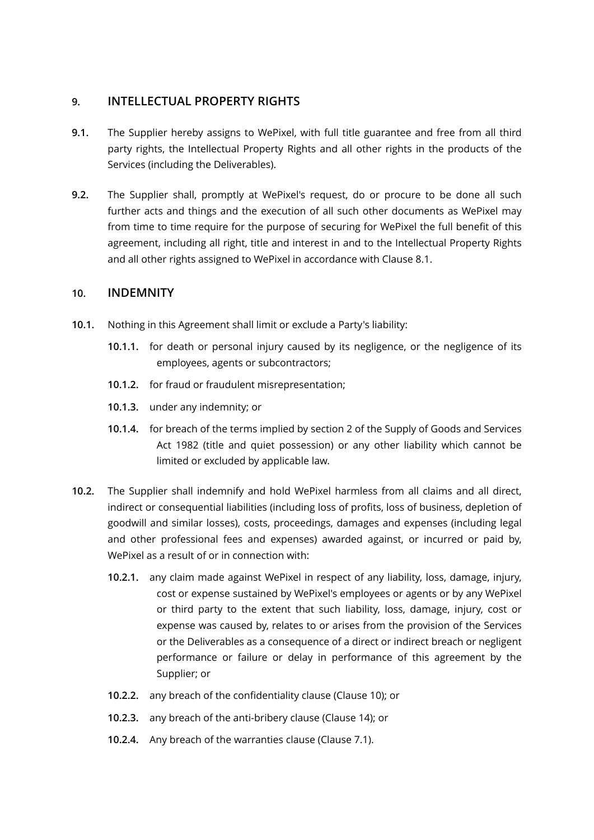## **9. INTELLECTUAL PROPERTY RIGHTS**

- <span id="page-8-0"></span>**9.1.** The Supplier hereby assigns to WePixel, with full title guarantee and free from all third party rights, the Intellectual Property Rights and all other rights in the products of the Services (including the Deliverables).
- **9.2.** The Supplier shall, promptly at WePixel's request, do or procure to be done all such further acts and things and the execution of all such other documents as WePixel may from time to time require for the purpose of securing for WePixel the full benefit of this agreement, including all right, title and interest in and to the Intellectual Property Rights and all other rights assigned to WePixel in accordance with Clause [8.1.](#page-8-0)

#### **10. INDEMNITY**

- <span id="page-8-1"></span>**10.1.** Nothing in this Agreement shall limit or exclude a Party's liability:
	- **10.1.1.** for death or personal injury caused by its negligence, or the negligence of its employees, agents or subcontractors;
	- **10.1.2.** for fraud or fraudulent misrepresentation;
	- **10.1.3.** under any indemnity; or
	- **10.1.4.** for breach of the terms implied by section 2 of the Supply of Goods and Services Act 1982 (title and quiet possession) or any other liability which cannot be limited or excluded by applicable law.
- **10.2.** The Supplier shall indemnify and hold WePixel harmless from all claims and all direct, indirect or consequential liabilities (including loss of profits, loss of business, depletion of goodwill and similar losses), costs, proceedings, damages and expenses (including legal and other professional fees and expenses) awarded against, or incurred or paid by, WePixel as a result of or in connection with:
	- **10.2.1.** any claim made against WePixel in respect of any liability, loss, damage, injury, cost or expense sustained by WePixel's employees or agents or by any WePixel or third party to the extent that such liability, loss, damage, injury, cost or expense was caused by, relates to or arises from the provision of the Services or the Deliverables as a consequence of a direct or indirect breach or negligent performance or failure or delay in performance of this agreement by the Supplier; or
	- **10.2.2.** any breach of the confidentiality clause (Clause [10](#page-9-0)); or
	- **10.2.3.** any breach of the anti-bribery clause (Clause [14\)](#page-12-0); or
	- **10.2.4.** Any breach of the warranties clause (Clause [7.1](#page-7-1)).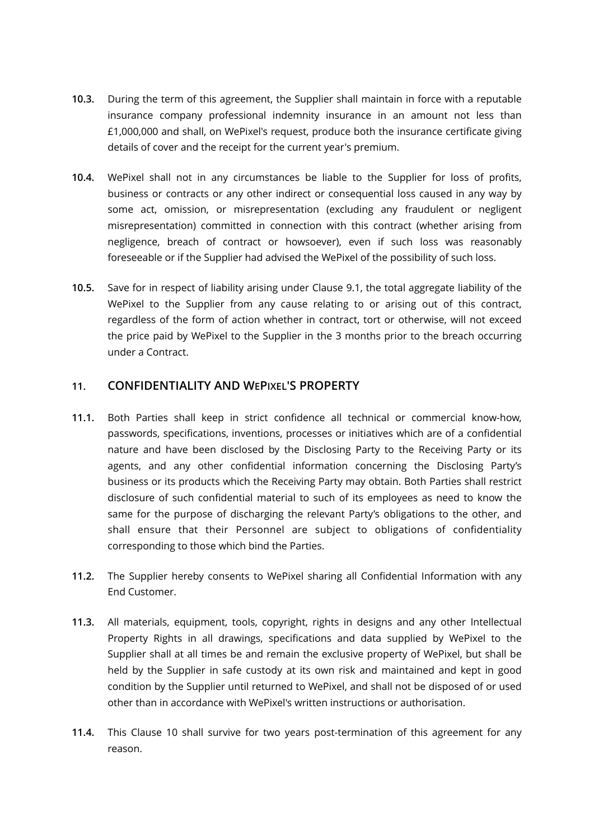- **10.3.** During the term of this agreement, the Supplier shall maintain in force with a reputable insurance company professional indemnity insurance in an amount not less than £1,000,000 and shall, on WePixel's request, produce both the insurance certificate giving details of cover and the receipt for the current year's premium.
- **10.4.** WePixel shall not in any circumstances be liable to the Supplier for loss of profits, business or contracts or any other indirect or consequential loss caused in any way by some act, omission, or misrepresentation (excluding any fraudulent or negligent misrepresentation) committed in connection with this contract (whether arising from negligence, breach of contract or howsoever), even if such loss was reasonably foreseeable or if the Supplier had advised the WePixel of the possibility of such loss.
- **10.5.** Save for in respect of liability arising under Clause [9.1](#page-8-1), the total aggregate liability of the WePixel to the Supplier from any cause relating to or arising out of this contract, regardless of the form of action whether in contract, tort or otherwise, will not exceed the price paid by WePixel to the Supplier in the 3 months prior to the breach occurring under a Contract.

#### <span id="page-9-0"></span>**11. CONFIDENTIALITY AND WEPIXEL'S PROPERTY**

- **11.1.** Both Parties shall keep in strict confidence all technical or commercial know-how, passwords, specifications, inventions, processes or initiatives which are of a confidential nature and have been disclosed by the Disclosing Party to the Receiving Party or its agents, and any other confidential information concerning the Disclosing Party's business or its products which the Receiving Party may obtain. Both Parties shall restrict disclosure of such confidential material to such of its employees as need to know the same for the purpose of discharging the relevant Party's obligations to the other, and shall ensure that their Personnel are subject to obligations of confidentiality corresponding to those which bind the Parties.
- **11.2.** The Supplier hereby consents to WePixel sharing all Confidential Information with any End Customer.
- **11.3.** All materials, equipment, tools, copyright, rights in designs and any other Intellectual Property Rights in all drawings, specifications and data supplied by WePixel to the Supplier shall at all times be and remain the exclusive property of WePixel, but shall be held by the Supplier in safe custody at its own risk and maintained and kept in good condition by the Supplier until returned to WePixel, and shall not be disposed of or used other than in accordance with WePixel's written instructions or authorisation.
- **11.4.** This Clause [10](#page-9-0) shall survive for two years post-termination of this agreement for any reason.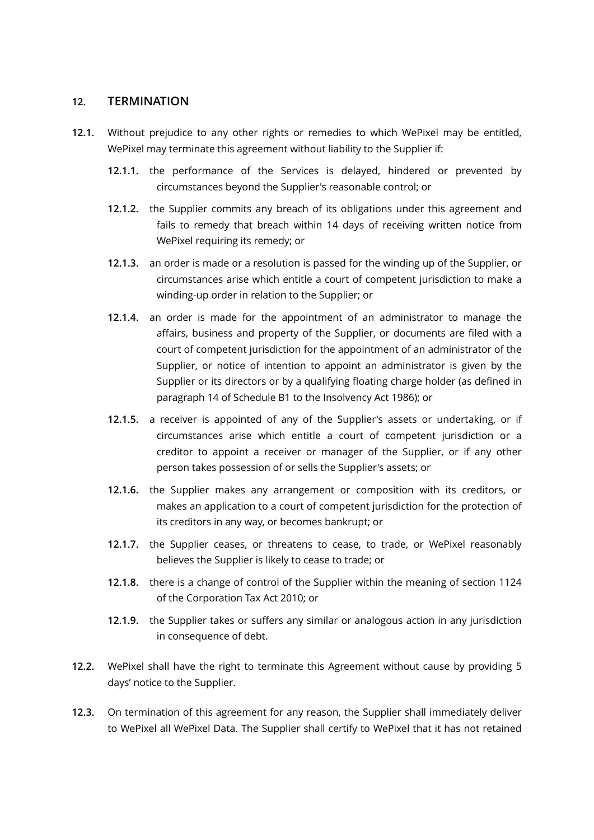#### <span id="page-10-0"></span>**12. TERMINATION**

- **12.1.** Without prejudice to any other rights or remedies to which WePixel may be entitled, WePixel may terminate this agreement without liability to the Supplier if:
	- **12.1.1.** the performance of the Services is delayed, hindered or prevented by circumstances beyond the Supplier's reasonable control; or
	- **12.1.2.** the Supplier commits any breach of its obligations under this agreement and fails to remedy that breach within 14 days of receiving written notice from WePixel requiring its remedy; or
	- **12.1.3.** an order is made or a resolution is passed for the winding up of the Supplier, or circumstances arise which entitle a court of competent jurisdiction to make a winding-up order in relation to the Supplier; or
	- **12.1.4.** an order is made for the appointment of an administrator to manage the affairs, business and property of the Supplier, or documents are filed with a court of competent jurisdiction for the appointment of an administrator of the Supplier, or notice of intention to appoint an administrator is given by the Supplier or its directors or by a qualifying floating charge holder (as defined in paragraph 14 of Schedule B1 to the Insolvency Act 1986); or
	- **12.1.5.** a receiver is appointed of any of the Supplier's assets or undertaking, or if circumstances arise which entitle a court of competent jurisdiction or a creditor to appoint a receiver or manager of the Supplier, or if any other person takes possession of or sells the Supplier's assets; or
	- **12.1.6.** the Supplier makes any arrangement or composition with its creditors, or makes an application to a court of competent jurisdiction for the protection of its creditors in any way, or becomes bankrupt; or
	- **12.1.7.** the Supplier ceases, or threatens to cease, to trade, or WePixel reasonably believes the Supplier is likely to cease to trade; or
	- **12.1.8.** there is a change of control of the Supplier within the meaning of section 1124 of the Corporation Tax Act 2010; or
	- **12.1.9.** the Supplier takes or suffers any similar or analogous action in any jurisdiction in consequence of debt.
- **12.2.** WePixel shall have the right to terminate this Agreement without cause by providing 5 days' notice to the Supplier.
- **12.3.** On termination of this agreement for any reason, the Supplier shall immediately deliver to WePixel all WePixel Data. The Supplier shall certify to WePixel that it has not retained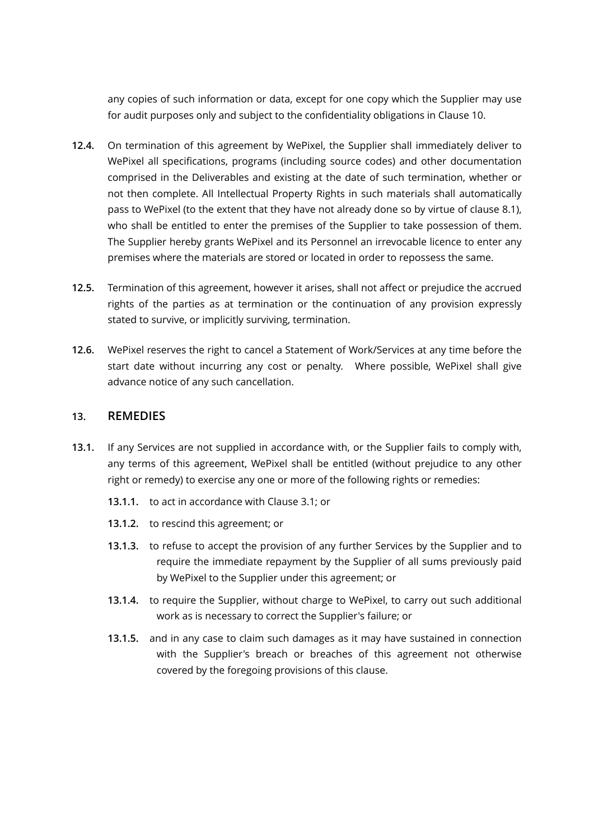any copies of such information or data, except for one copy which the Supplier may use for audit purposes only and subject to the confidentiality obligations in Clause 10.

- **12.4.** On termination of this agreement by WePixel, the Supplier shall immediately deliver to WePixel all specifications, programs (including source codes) and other documentation comprised in the Deliverables and existing at the date of such termination, whether or not then complete. All Intellectual Property Rights in such materials shall automatically pass to WePixel (to the extent that they have not already done so by virtue of clause [8.1\)](#page-8-0), who shall be entitled to enter the premises of the Supplier to take possession of them. The Supplier hereby grants WePixel and its Personnel an irrevocable licence to enter any premises where the materials are stored or located in order to repossess the same.
- **12.5.** Termination of this agreement, however it arises, shall not affect or prejudice the accrued rights of the parties as at termination or the continuation of any provision expressly stated to survive, or implicitly surviving, termination.
- **12.6.** WePixel reserves the right to cancel a Statement of Work/Services at any time before the start date without incurring any cost or penalty. Where possible, WePixel shall give advance notice of any such cancellation.

#### **13. REMEDIES**

- **13.1.** If any Services are not supplied in accordance with, or the Supplier fails to comply with, any terms of this agreement, WePixel shall be entitled (without prejudice to any other right or remedy) to exercise any one or more of the following rights or remedies:
	- **13.1.1.** to act in accordance with Clause 3.1; or
	- **13.1.2.** to rescind this agreement; or
	- **13.1.3.** to refuse to accept the provision of any further Services by the Supplier and to require the immediate repayment by the Supplier of all sums previously paid by WePixel to the Supplier under this agreement; or
	- **13.1.4.** to require the Supplier, without charge to WePixel, to carry out such additional work as is necessary to correct the Supplier's failure; or
	- **13.1.5.** and in any case to claim such damages as it may have sustained in connection with the Supplier's breach or breaches of this agreement not otherwise covered by the foregoing provisions of this clause.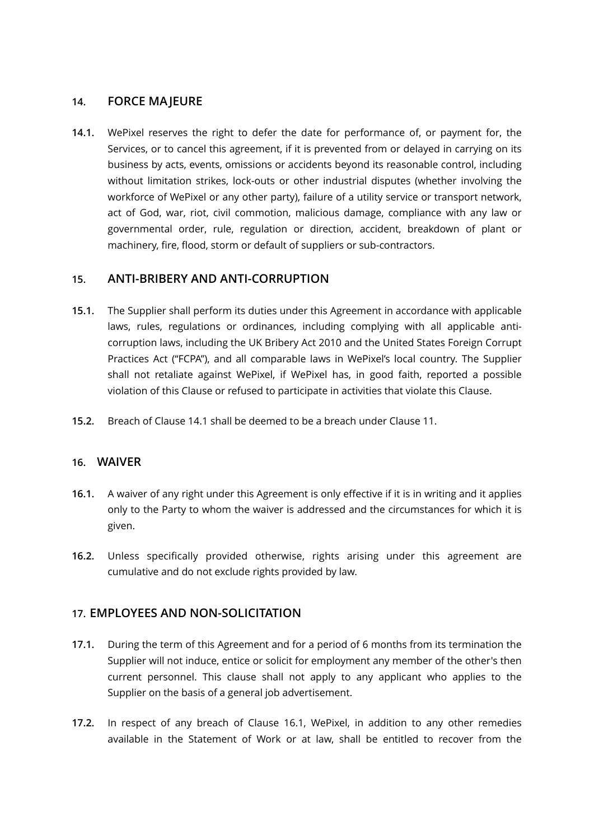#### **14. FORCE MAJEURE**

**14.1.** WePixel reserves the right to defer the date for performance of, or payment for, the Services, or to cancel this agreement, if it is prevented from or delayed in carrying on its business by acts, events, omissions or accidents beyond its reasonable control, including without limitation strikes, lock-outs or other industrial disputes (whether involving the workforce of WePixel or any other party), failure of a utility service or transport network, act of God, war, riot, civil commotion, malicious damage, compliance with any law or governmental order, rule, regulation or direction, accident, breakdown of plant or machinery, fire, flood, storm or default of suppliers or sub-contractors.

#### <span id="page-12-0"></span>**15. ANTI-BRIBERY AND ANTI-CORRUPTION**

- <span id="page-12-1"></span>**15.1.** The Supplier shall perform its duties under this Agreement in accordance with applicable laws, rules, regulations or ordinances, including complying with all applicable anticorruption laws, including the UK Bribery Act 2010 and the United States Foreign Corrupt Practices Act ("FCPA"), and all comparable laws in WePixel's local country. The Supplier shall not retaliate against WePixel, if WePixel has, in good faith, reported a possible violation of this Clause or refused to participate in activities that violate this Clause.
- **15.2.** Breach of Clause [14.1](#page-12-1) shall be deemed to be a breach under Clause [11](#page-10-0).

#### **16. WAIVER**

- **16.1.** A waiver of any right under this Agreement is only effective if it is in writing and it applies only to the Party to whom the waiver is addressed and the circumstances for which it is given.
- **16.2.** Unless specifically provided otherwise, rights arising under this agreement are cumulative and do not exclude rights provided by law.

#### **17. EMPLOYEES AND NON-SOLICITATION**

- <span id="page-12-2"></span>**17.1.** During the term of this Agreement and for a period of 6 months from its termination the Supplier will not induce, entice or solicit for employment any member of the other's then current personnel. This clause shall not apply to any applicant who applies to the Supplier on the basis of a general job advertisement.
- **17.2.** In respect of any breach of Clause [16.1](#page-12-2), WePixel, in addition to any other remedies available in the Statement of Work or at law, shall be entitled to recover from the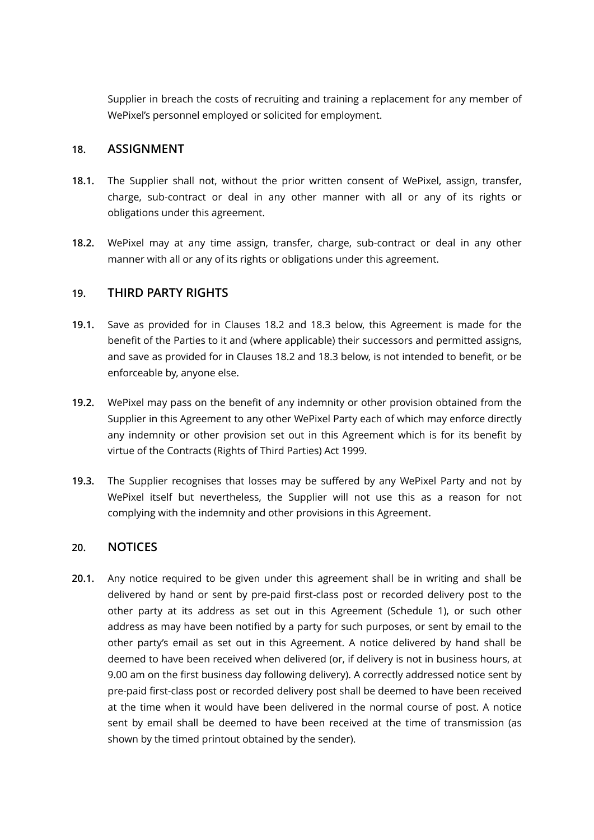Supplier in breach the costs of recruiting and training a replacement for any member of WePixel's personnel employed or solicited for employment.

#### **18. ASSIGNMENT**

- **18.1.** The Supplier shall not, without the prior written consent of WePixel, assign, transfer, charge, sub-contract or deal in any other manner with all or any of its rights or obligations under this agreement.
- **18.2.** WePixel may at any time assign, transfer, charge, sub-contract or deal in any other manner with all or any of its rights or obligations under this agreement.

#### **19. THIRD PARTY RIGHTS**

- **19.1.** Save as provided for in Clauses [18.2](#page-13-0) and [18.3](#page-13-1) below, this Agreement is made for the benefit of the Parties to it and (where applicable) their successors and permitted assigns, and save as provided for in Clauses [18.2](#page-13-0) and [18.3](#page-13-1) below, is not intended to benefit, or be enforceable by, anyone else.
- <span id="page-13-0"></span>**19.2.** WePixel may pass on the benefit of any indemnity or other provision obtained from the Supplier in this Agreement to any other WePixel Party each of which may enforce directly any indemnity or other provision set out in this Agreement which is for its benefit by virtue of the Contracts (Rights of Third Parties) Act 1999.
- <span id="page-13-1"></span>**19.3.** The Supplier recognises that losses may be suffered by any WePixel Party and not by WePixel itself but nevertheless, the Supplier will not use this as a reason for not complying with the indemnity and other provisions in this Agreement.

#### **20. NOTICES**

<span id="page-13-2"></span>**20.1.** Any notice required to be given under this agreement shall be in writing and shall be delivered by hand or sent by pre-paid first-class post or recorded delivery post to the other party at its address as set out in this Agreement (Schedule 1), or such other address as may have been notified by a party for such purposes, or sent by email to the other party's email as set out in this Agreement. A notice delivered by hand shall be deemed to have been received when delivered (or, if delivery is not in business hours, at 9.00 am on the first business day following delivery). A correctly addressed notice sent by pre-paid first-class post or recorded delivery post shall be deemed to have been received at the time when it would have been delivered in the normal course of post. A notice sent by email shall be deemed to have been received at the time of transmission (as shown by the timed printout obtained by the sender).